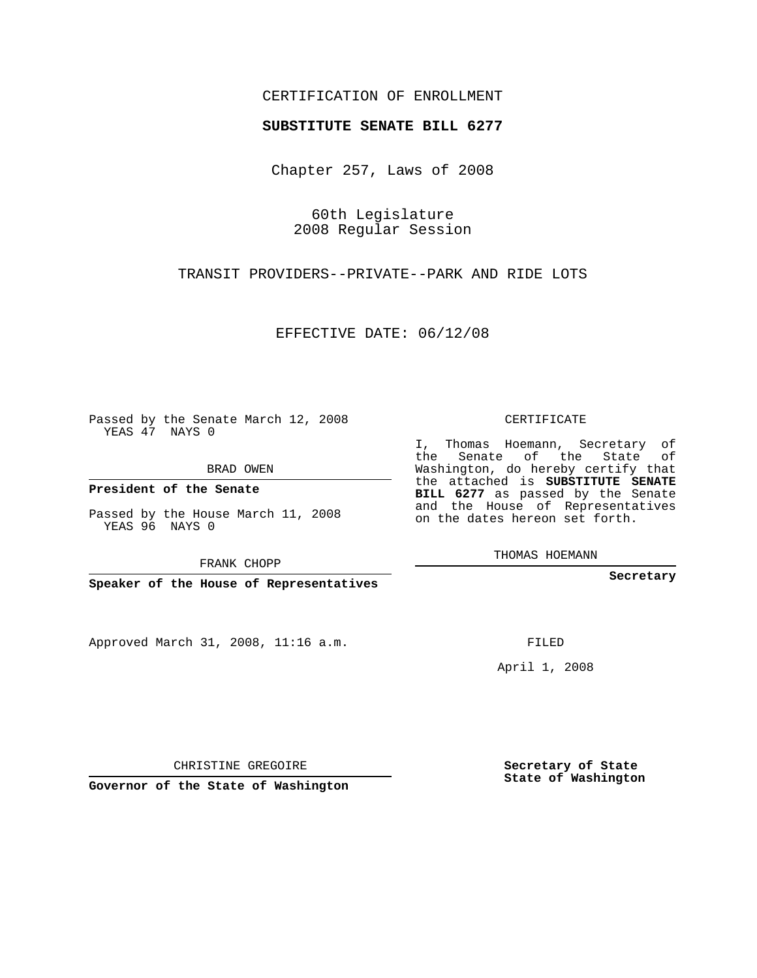## CERTIFICATION OF ENROLLMENT

## **SUBSTITUTE SENATE BILL 6277**

Chapter 257, Laws of 2008

60th Legislature 2008 Regular Session

TRANSIT PROVIDERS--PRIVATE--PARK AND RIDE LOTS

EFFECTIVE DATE: 06/12/08

Passed by the Senate March 12, 2008 YEAS 47 NAYS 0

BRAD OWEN

**President of the Senate**

Passed by the House March 11, 2008 YEAS 96 NAYS 0

FRANK CHOPP

**Speaker of the House of Representatives**

Approved March 31, 2008, 11:16 a.m.

CERTIFICATE

I, Thomas Hoemann, Secretary of the Senate of the State Washington, do hereby certify that the attached is **SUBSTITUTE SENATE BILL 6277** as passed by the Senate and the House of Representatives on the dates hereon set forth.

THOMAS HOEMANN

**Secretary**

FILED

April 1, 2008

**Secretary of State State of Washington**

CHRISTINE GREGOIRE

**Governor of the State of Washington**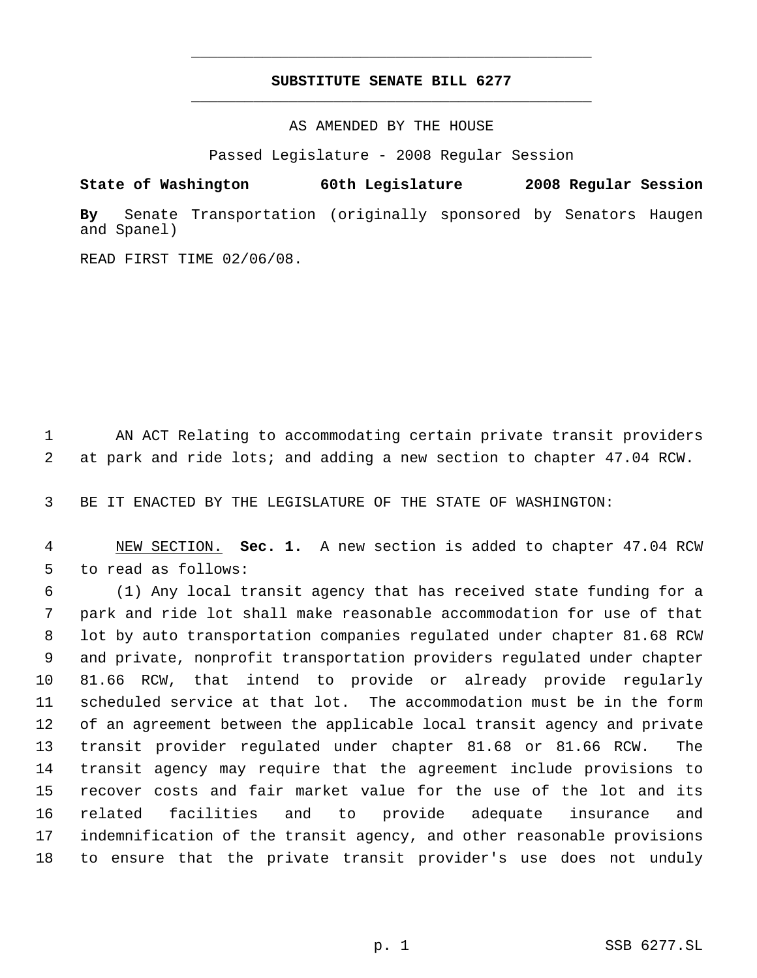## **SUBSTITUTE SENATE BILL 6277** \_\_\_\_\_\_\_\_\_\_\_\_\_\_\_\_\_\_\_\_\_\_\_\_\_\_\_\_\_\_\_\_\_\_\_\_\_\_\_\_\_\_\_\_\_

\_\_\_\_\_\_\_\_\_\_\_\_\_\_\_\_\_\_\_\_\_\_\_\_\_\_\_\_\_\_\_\_\_\_\_\_\_\_\_\_\_\_\_\_\_

AS AMENDED BY THE HOUSE

Passed Legislature - 2008 Regular Session

**State of Washington 60th Legislature 2008 Regular Session**

**By** Senate Transportation (originally sponsored by Senators Haugen and Spanel)

READ FIRST TIME 02/06/08.

 AN ACT Relating to accommodating certain private transit providers at park and ride lots; and adding a new section to chapter 47.04 RCW.

BE IT ENACTED BY THE LEGISLATURE OF THE STATE OF WASHINGTON:

 NEW SECTION. **Sec. 1.** A new section is added to chapter 47.04 RCW to read as follows:

 (1) Any local transit agency that has received state funding for a park and ride lot shall make reasonable accommodation for use of that lot by auto transportation companies regulated under chapter 81.68 RCW and private, nonprofit transportation providers regulated under chapter 81.66 RCW, that intend to provide or already provide regularly scheduled service at that lot. The accommodation must be in the form of an agreement between the applicable local transit agency and private transit provider regulated under chapter 81.68 or 81.66 RCW. The transit agency may require that the agreement include provisions to recover costs and fair market value for the use of the lot and its related facilities and to provide adequate insurance and indemnification of the transit agency, and other reasonable provisions to ensure that the private transit provider's use does not unduly